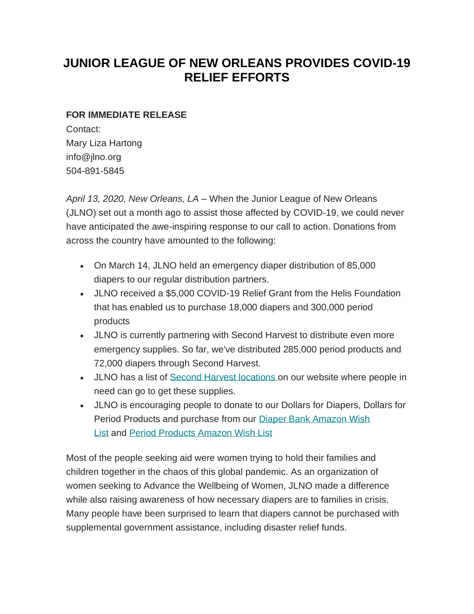## **JUNIOR LEAGUE OF NEW ORLEANS PROVIDES COVID-19 RELIEF EFFORTS**

## **FOR IMMEDIATE RELEASE**

Contact: Mary Liza Hartong info@jlno.org 504-891-5845

*April 13, 2020, New Orleans, LA* – When the Junior League of New Orleans (JLNO) set out a month ago to assist those affected by COVID-19, we could never have anticipated the awe-inspiring response to our call to action. Donations from across the country have amounted to the following:

- On March 14, JLNO held an emergency diaper distribution of 85,000 diapers to our regular distribution partners.
- JLNO received a \$5,000 COVID-19 Relief Grant from the Helis Foundation that has enabled us to purchase 18,000 diapers and 300,000 period products
- JLNO is currently partnering with Second Harvest to distribute even more emergency supplies. So far, we've distributed 285,000 period products and 72,000 diapers through Second Harvest.
- JLNO has a list of [Second Harvest locations](https://www.jlno.org/community/diaper-bank/) on our website where people in need can go to get these supplies.
- JLNO is encouraging people to donate to our Dollars for Diapers, Dollars for Period Products and purchase from our [Diaper Bank Amazon Wish](https://www.amazon.com/hz/wishlist/ls/QF601FDQGRSZ/ref=cm_go_nav_hz) [List](https://www.amazon.com/hz/wishlist/ls/QF601FDQGRSZ/ref=cm_go_nav_hz) and [Period Products Amazon Wish List](https://www.amazon.com/hz/wishlist/ls/2W2N08MUM7GSV?ref_=wl_share)

Most of the people seeking aid were women trying to hold their families and children together in the chaos of this global pandemic. As an organization of women seeking to Advance the Wellbeing of Women, JLNO made a difference while also raising awareness of how necessary diapers are to families in crisis. Many people have been surprised to learn that diapers cannot be purchased with supplemental government assistance, including disaster relief funds.